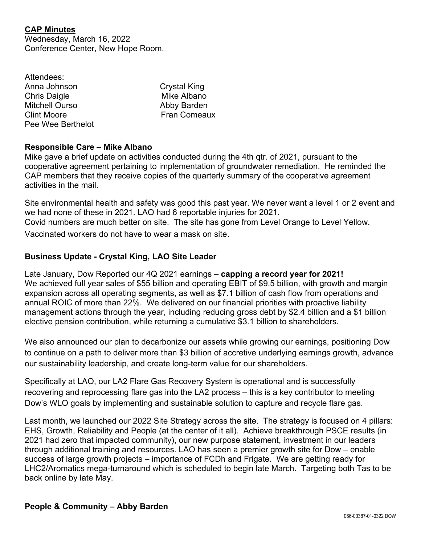## **CAP Minutes**

Wednesday, March 16, 2022 Conference Center, New Hope Room.

| Attendees:            |                     |
|-----------------------|---------------------|
| Anna Johnson          | <b>Crystal King</b> |
| <b>Chris Daigle</b>   | Mike Albano         |
| <b>Mitchell Ourso</b> | Abby Barden         |
| <b>Clint Moore</b>    | <b>Fran Comeaux</b> |
| Pee Wee Berthelot     |                     |

## **Responsible Care – Mike Albano**

Mike gave a brief update on activities conducted during the 4th qtr. of 2021, pursuant to the cooperative agreement pertaining to implementation of groundwater remediation. He reminded the CAP members that they receive copies of the quarterly summary of the cooperative agreement activities in the mail.

Site environmental health and safety was good this past year. We never want a level 1 or 2 event and we had none of these in 2021. LAO had 6 reportable injuries for 2021. Covid numbers are much better on site. The site has gone from Level Orange to Level Yellow.

Vaccinated workers do not have to wear a mask on site.

## **Business Update - Crystal King, LAO Site Leader**

Late January, Dow Reported our 4Q 2021 earnings – **capping a record year for 2021!**  We achieved full year sales of \$55 billion and operating EBIT of \$9.5 billion, with growth and margin expansion across all operating segments, as well as \$7.1 billion of cash flow from operations and annual ROIC of more than 22%. We delivered on our financial priorities with proactive liability management actions through the year, including reducing gross debt by \$2.4 billion and a \$1 billion elective pension contribution, while returning a cumulative \$3.1 billion to shareholders.

We also announced our plan to decarbonize our assets while growing our earnings, positioning Dow to continue on a path to deliver more than \$3 billion of accretive underlying earnings growth, advance our sustainability leadership, and create long-term value for our shareholders.

Specifically at LAO, our LA2 Flare Gas Recovery System is operational and is successfully recovering and reprocessing flare gas into the LA2 process – this is a key contributor to meeting Dow's WLO goals by implementing and sustainable solution to capture and recycle flare gas.

Last month, we launched our 2022 Site Strategy across the site. The strategy is focused on 4 pillars: EHS, Growth, Reliability and People (at the center of it all). Achieve breakthrough PSCE results (in 2021 had zero that impacted community), our new purpose statement, investment in our leaders through additional training and resources. LAO has seen a premier growth site for Dow – enable success of large growth projects – importance of FCDh and Frigate. We are getting ready for LHC2/Aromatics mega-turnaround which is scheduled to begin late March. Targeting both Tas to be back online by late May.

## **People & Community – Abby Barden**